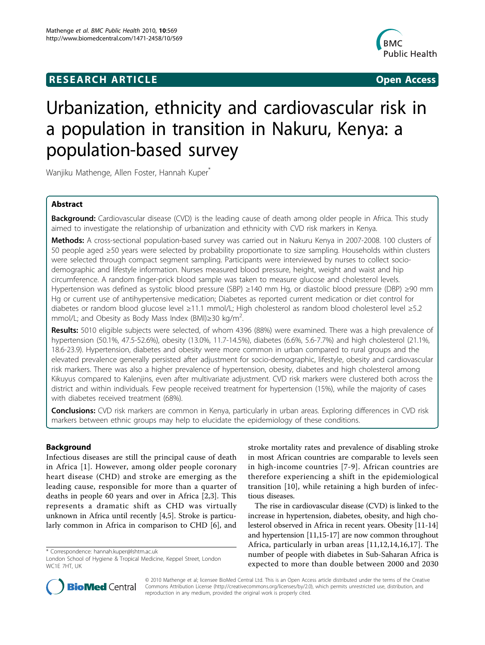## **RESEARCH ARTICLE Example 2018 CONSIDERING ACCESS**



# Urbanization, ethnicity and cardiovascular risk in a population in transition in Nakuru, Kenya: a population-based survey

Wanjiku Mathenge, Allen Foster, Hannah Kuper

## Abstract

Background: Cardiovascular disease (CVD) is the leading cause of death among older people in Africa. This study aimed to investigate the relationship of urbanization and ethnicity with CVD risk markers in Kenya.

Methods: A cross-sectional population-based survey was carried out in Nakuru Kenya in 2007-2008. 100 clusters of 50 people aged ≥50 years were selected by probability proportionate to size sampling. Households within clusters were selected through compact segment sampling. Participants were interviewed by nurses to collect sociodemographic and lifestyle information. Nurses measured blood pressure, height, weight and waist and hip circumference. A random finger-prick blood sample was taken to measure glucose and cholesterol levels. Hypertension was defined as systolic blood pressure (SBP) ≥140 mm Hg, or diastolic blood pressure (DBP) ≥90 mm Hg or current use of antihypertensive medication; Diabetes as reported current medication or diet control for diabetes or random blood glucose level ≥11.1 mmol/L; High cholesterol as random blood cholesterol level ≥5.2 mmol/L; and Obesity as Body Mass Index (BMI)≥30 kg/m<sup>2</sup>. .

Results: 5010 eligible subjects were selected, of whom 4396 (88%) were examined. There was a high prevalence of hypertension (50.1%, 47.5-52.6%), obesity (13.0%, 11.7-14.5%), diabetes (6.6%, 5.6-7.7%) and high cholesterol (21.1%, 18.6-23.9). Hypertension, diabetes and obesity were more common in urban compared to rural groups and the elevated prevalence generally persisted after adjustment for socio-demographic, lifestyle, obesity and cardiovascular risk markers. There was also a higher prevalence of hypertension, obesity, diabetes and high cholesterol among Kikuyus compared to Kalenjins, even after multivariate adjustment. CVD risk markers were clustered both across the district and within individuals. Few people received treatment for hypertension (15%), while the majority of cases with diabetes received treatment (68%).

Conclusions: CVD risk markers are common in Kenya, particularly in urban areas. Exploring differences in CVD risk markers between ethnic groups may help to elucidate the epidemiology of these conditions.

## Background

Infectious diseases are still the principal cause of death in Africa [\[1\]](#page-10-0). However, among older people coronary heart disease (CHD) and stroke are emerging as the leading cause, responsible for more than a quarter of deaths in people 60 years and over in Africa [[2,3](#page-10-0)]. This represents a dramatic shift as CHD was virtually unknown in Africa until recently [[4,5\]](#page-10-0). Stroke is particularly common in Africa in comparison to CHD [[6\]](#page-10-0), and

stroke mortality rates and prevalence of disabling stroke in most African countries are comparable to levels seen in high-income countries [[7-9](#page-10-0)]. African countries are therefore experiencing a shift in the epidemiological transition [[10\]](#page-10-0), while retaining a high burden of infectious diseases.

The rise in cardiovascular disease (CVD) is linked to the increase in hypertension, diabetes, obesity, and high cholesterol observed in Africa in recent years. Obesity [[11](#page-10-0)-[14](#page-11-0)] and hypertension [[11](#page-10-0)[,15](#page-11-0)-[17](#page-11-0)] are now common throughout Africa, particularly in urban areas [[11,12](#page-10-0)[,14,16,17](#page-11-0)]. The number of people with diabetes in Sub-Saharan Africa is expected to more than double between 2000 and 2030



© 2010 Mathenge et al; licensee BioMed Central Ltd. This is an Open Access article distributed under the terms of the Creative Commons Attribution License [\(http://creativecommons.org/licenses/by/2.0](http://creativecommons.org/licenses/by/2.0)), which permits unrestricted use, distribution, and reproduction in any medium, provided the original work is properly cited.

<sup>\*</sup> Correspondence: [hannah.kuper@lshtm.ac.uk](mailto:hannah.kuper@lshtm.ac.uk)

London School of Hygiene & Tropical Medicine, Keppel Street, London WC1F 7HT, UK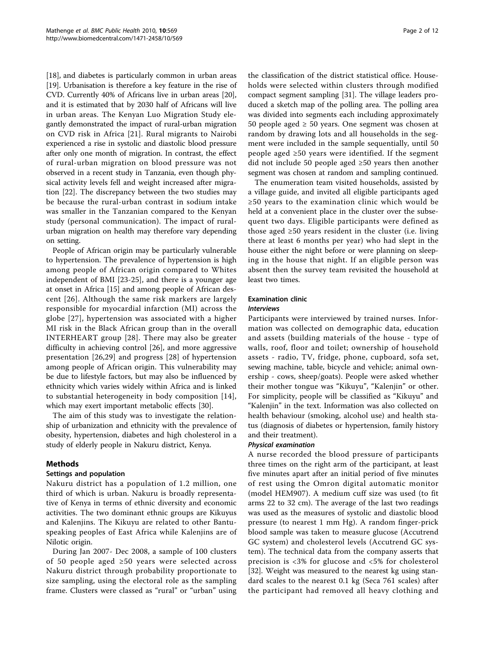[[18\]](#page-11-0), and diabetes is particularly common in urban areas [[19](#page-11-0)]. Urbanisation is therefore a key feature in the rise of CVD. Currently 40% of Africans live in urban areas [[20](#page-11-0)], and it is estimated that by 2030 half of Africans will live in urban areas. The Kenyan Luo Migration Study elegantly demonstrated the impact of rural-urban migration on CVD risk in Africa [[21](#page-11-0)]. Rural migrants to Nairobi experienced a rise in systolic and diastolic blood pressure after only one month of migration. In contrast, the effect of rural-urban migration on blood pressure was not observed in a recent study in Tanzania, even though physical activity levels fell and weight increased after migration [[22](#page-11-0)]. The discrepancy between the two studies may be because the rural-urban contrast in sodium intake was smaller in the Tanzanian compared to the Kenyan study (personal communication). The impact of ruralurban migration on health may therefore vary depending on setting.

People of African origin may be particularly vulnerable to hypertension. The prevalence of hypertension is high among people of African origin compared to Whites independent of BMI [[23-25\]](#page-11-0), and there is a younger age at onset in Africa [\[15](#page-11-0)] and among people of African descent [[26](#page-11-0)]. Although the same risk markers are largely responsible for myocardial infarction (MI) across the globe [[27](#page-11-0)], hypertension was associated with a higher MI risk in the Black African group than in the overall INTERHEART group [\[28\]](#page-11-0). There may also be greater difficulty in achieving control [[26\]](#page-11-0), and more aggressive presentation [\[26](#page-11-0),[29\]](#page-11-0) and progress [[28](#page-11-0)] of hypertension among people of African origin. This vulnerability may be due to lifestyle factors, but may also be influenced by ethnicity which varies widely within Africa and is linked to substantial heterogeneity in body composition [[14](#page-11-0)], which may exert important metabolic effects [[30\]](#page-11-0).

The aim of this study was to investigate the relationship of urbanization and ethnicity with the prevalence of obesity, hypertension, diabetes and high cholesterol in a study of elderly people in Nakuru district, Kenya.

## Methods

## Settings and population

Nakuru district has a population of 1.2 million, one third of which is urban. Nakuru is broadly representative of Kenya in terms of ethnic diversity and economic activities. The two dominant ethnic groups are Kikuyus and Kalenjins. The Kikuyu are related to other Bantuspeaking peoples of East Africa while Kalenjins are of Nilotic origin.

During Jan 2007- Dec 2008, a sample of 100 clusters of 50 people aged ≥50 years were selected across Nakuru district through probability proportionate to size sampling, using the electoral role as the sampling frame. Clusters were classed as "rural" or "urban" using

the classification of the district statistical office. Households were selected within clusters through modified compact segment sampling [[31\]](#page-11-0). The village leaders produced a sketch map of the polling area. The polling area was divided into segments each including approximately 50 people aged  $\geq$  50 years. One segment was chosen at random by drawing lots and all households in the segment were included in the sample sequentially, until 50 people aged ≥50 years were identified. If the segment did not include 50 people aged ≥50 years then another segment was chosen at random and sampling continued.

The enumeration team visited households, assisted by a village guide, and invited all eligible participants aged ≥50 years to the examination clinic which would be held at a convenient place in the cluster over the subsequent two days. Eligible participants were defined as those aged  $\geq 50$  years resident in the cluster (i.e. living there at least 6 months per year) who had slept in the house either the night before or were planning on sleeping in the house that night. If an eligible person was absent then the survey team revisited the household at least two times.

## Examination clinic

#### Interviews

Participants were interviewed by trained nurses. Information was collected on demographic data, education and assets (building materials of the house - type of walls, roof, floor and toilet; ownership of household assets - radio, TV, fridge, phone, cupboard, sofa set, sewing machine, table, bicycle and vehicle; animal ownership - cows, sheep/goats). People were asked whether their mother tongue was "Kikuyu", "Kalenjin" or other. For simplicity, people will be classified as "Kikuyu" and "Kalenjin" in the text. Information was also collected on health behaviour (smoking, alcohol use) and health status (diagnosis of diabetes or hypertension, family history and their treatment).

#### Physical examination

A nurse recorded the blood pressure of participants three times on the right arm of the participant, at least five minutes apart after an initial period of five minutes of rest using the Omron digital automatic monitor (model HEM907). A medium cuff size was used (to fit arms 22 to 32 cm). The average of the last two readings was used as the measures of systolic and diastolic blood pressure (to nearest 1 mm Hg). A random finger-prick blood sample was taken to measure glucose (Accutrend GC system) and cholesterol levels (Accutrend GC system). The technical data from the company asserts that precision is <3% for glucose and <5% for cholesterol [[32\]](#page-11-0). Weight was measured to the nearest kg using standard scales to the nearest 0.1 kg (Seca 761 scales) after the participant had removed all heavy clothing and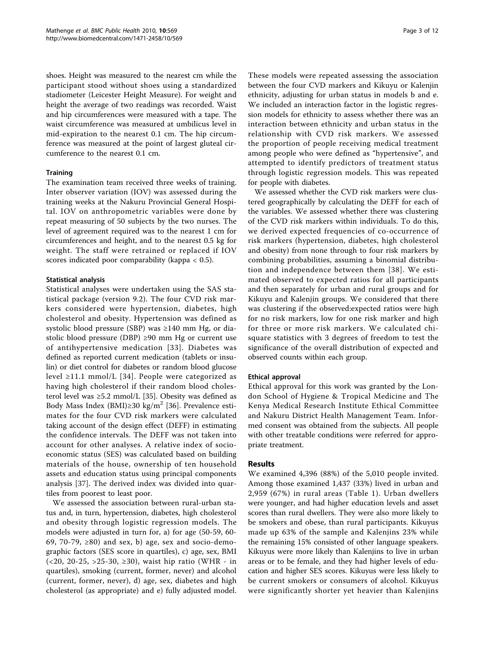shoes. Height was measured to the nearest cm while the participant stood without shoes using a standardized stadiometer (Leicester Height Measure). For weight and height the average of two readings was recorded. Waist and hip circumferences were measured with a tape. The waist circumference was measured at umbilicus level in mid-expiration to the nearest 0.1 cm. The hip circumference was measured at the point of largest gluteal circumference to the nearest 0.1 cm.

## **Training**

The examination team received three weeks of training. Inter observer variation (IOV) was assessed during the training weeks at the Nakuru Provincial General Hospital. IOV on anthropometric variables were done by repeat measuring of 50 subjects by the two nurses. The level of agreement required was to the nearest 1 cm for circumferences and height, and to the nearest 0.5 kg for weight. The staff were retrained or replaced if IOV scores indicated poor comparability (kappa < 0.5).

#### Statistical analysis

Statistical analyses were undertaken using the SAS statistical package (version 9.2). The four CVD risk markers considered were hypertension, diabetes, high cholesterol and obesity. Hypertension was defined as systolic blood pressure (SBP) was ≥140 mm Hg, or diastolic blood pressure (DBP) ≥90 mm Hg or current use of antihypertensive medication [[33\]](#page-11-0). Diabetes was defined as reported current medication (tablets or insulin) or diet control for diabetes or random blood glucose level ≥11.1 mmol/L [[34](#page-11-0)]. People were categorized as having high cholesterol if their random blood cholesterol level was ≥5.2 mmol/L [[35](#page-11-0)]. Obesity was defined as Body Mass Index (BMI)≥30 kg/m<sup>2</sup> [[36\]](#page-11-0). Prevalence estimates for the four CVD risk markers were calculated taking account of the design effect (DEFF) in estimating the confidence intervals. The DEFF was not taken into account for other analyses. A relative index of socioeconomic status (SES) was calculated based on building materials of the house, ownership of ten household assets and education status using principal components analysis [[37\]](#page-11-0). The derived index was divided into quartiles from poorest to least poor.

We assessed the association between rural-urban status and, in turn, hypertension, diabetes, high cholesterol and obesity through logistic regression models. The models were adjusted in turn for, a) for age (50-59, 60- 69, 70-79,  $\geq$ 80) and sex, b) age, sex and socio-demographic factors (SES score in quartiles), c) age, sex, BMI (<20, 20-25, >25-30, ≥30), waist hip ratio (WHR - in quartiles), smoking (current, former, never) and alcohol (current, former, never), d) age, sex, diabetes and high cholesterol (as appropriate) and e) fully adjusted model.

These models were repeated assessing the association between the four CVD markers and Kikuyu or Kalenjin ethnicity, adjusting for urban status in models b and e. We included an interaction factor in the logistic regression models for ethnicity to assess whether there was an interaction between ethnicity and urban status in the relationship with CVD risk markers. We assessed the proportion of people receiving medical treatment among people who were defined as "hypertensive", and attempted to identify predictors of treatment status through logistic regression models. This was repeated for people with diabetes.

We assessed whether the CVD risk markers were clustered geographically by calculating the DEFF for each of the variables. We assessed whether there was clustering of the CVD risk markers within individuals. To do this, we derived expected frequencies of co-occurrence of risk markers (hypertension, diabetes, high cholesterol and obesity) from none through to four risk markers by combining probabilities, assuming a binomial distribution and independence between them [[38](#page-11-0)]. We estimated observed to expected ratios for all participants and then separately for urban and rural groups and for Kikuyu and Kalenjin groups. We considered that there was clustering if the observed:expected ratios were high for no risk markers, low for one risk marker and high for three or more risk markers. We calculated chisquare statistics with 3 degrees of freedom to test the significance of the overall distribution of expected and observed counts within each group.

## Ethical approval

Ethical approval for this work was granted by the London School of Hygiene & Tropical Medicine and The Kenya Medical Research Institute Ethical Committee and Nakuru District Health Management Team. Informed consent was obtained from the subjects. All people with other treatable conditions were referred for appropriate treatment.

#### Results

We examined 4,396 (88%) of the 5,010 people invited. Among those examined 1,437 (33%) lived in urban and 2,959 (67%) in rural areas (Table [1\)](#page-3-0). Urban dwellers were younger, and had higher education levels and asset scores than rural dwellers. They were also more likely to be smokers and obese, than rural participants. Kikuyus made up 63% of the sample and Kalenjins 23% while the remaining 15% consisted of other language speakers. Kikuyus were more likely than Kalenjins to live in urban areas or to be female, and they had higher levels of education and higher SES scores. Kikuyus were less likely to be current smokers or consumers of alcohol. Kikuyus were significantly shorter yet heavier than Kalenjins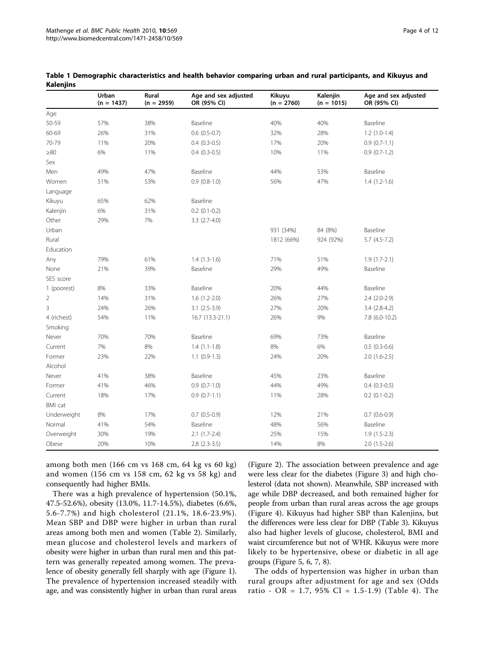|                | Urban<br>$(n = 1437)$ | Rural<br>$(n = 2959)$ | Age and sex adjusted<br>OR (95% CI) | Kikuyu<br>$(n = 2760)$ | Kalenjin<br>$(n = 1015)$ | Age and sex adjusted<br>OR (95% CI) |
|----------------|-----------------------|-----------------------|-------------------------------------|------------------------|--------------------------|-------------------------------------|
| Age            |                       |                       |                                     |                        |                          |                                     |
| 50-59          | 57%                   | 38%                   | Baseline                            | 40%                    | 40%                      | Baseline                            |
| 60-69          | 26%                   | 31%                   | $0.6$ $(0.5-0.7)$                   | 32%                    | 28%                      | $1.2(1.0-1.4)$                      |
| 70-79          | 11%                   | 20%                   | $0.4$ $(0.3-0.5)$                   | 17%                    | 20%                      | $0.9(0.7-1.1)$                      |
| $\geq 80$      | 6%                    | 11%                   | $0.4(0.3-0.5)$                      | 10%                    | 11%                      | $0.9(0.7-1.2)$                      |
| Sex            |                       |                       |                                     |                        |                          |                                     |
| Men            | 49%                   | 47%                   | Baseline                            | 44%                    | 53%                      | Baseline                            |
| Women          | 51%                   | 53%                   | $0.9$ $(0.8-1.0)$                   | 56%                    | 47%                      | $1.4(1.2-1.6)$                      |
| Language       |                       |                       |                                     |                        |                          |                                     |
| Kikuyu         | 65%                   | 62%                   | Baseline                            |                        |                          |                                     |
| Kalenjin       | 6%                    | 31%                   | $0.2$ (0.1-0.2)                     |                        |                          |                                     |
| Other          | 29%                   | 7%                    | $3.3(2.7-4.0)$                      |                        |                          |                                     |
| Urban          |                       |                       |                                     | 931 (34%)              | 84 (8%)                  | Baseline                            |
| Rural          |                       |                       |                                     | 1812 (66%)             | 924 (92%)                | $5.7$ $(4.5-7.2)$                   |
| Education      |                       |                       |                                     |                        |                          |                                     |
| Any            | 79%                   | 61%                   | $1.4(1.3-1.6)$                      | 71%                    | 51%                      | $1.9(1.7-2.1)$                      |
| None           | 21%                   | 39%                   | Baseline                            | 29%                    | 49%                      | Baseline                            |
| SES score      |                       |                       |                                     |                        |                          |                                     |
| 1 (poorest)    | 8%                    | 33%                   | Baseline                            | 20%                    | 44%                      | Baseline                            |
| $\overline{2}$ | 14%                   | 31%                   | $1.6(1.2-2.0)$                      | 26%                    | 27%                      | 2.4 (2.0-2.9)                       |
| 3              | 24%                   | 26%                   | $3.1(2.5-3.9)$                      | 27%                    | 20%                      | $3.4(2.8-4.2)$                      |
| 4 (richest)    | 54%                   | 11%                   | 16.7 (13.3-21.1)                    | 26%                    | 9%                       | 7.8 (6.0-10.2)                      |
| Smoking        |                       |                       |                                     |                        |                          |                                     |
| Never          | 70%                   | 70%                   | Baseline                            | 69%                    | 73%                      | Baseline                            |
| Current        | 7%                    | 8%                    | $1.4(1.1-1.8)$                      | 8%                     | 6%                       | $0.5(0.3-0.6)$                      |
| Former         | 23%                   | 22%                   | $1.1(0.9-1.3)$                      | 24%                    | 20%                      | $2.0(1.6-2.5)$                      |
| Alcohol        |                       |                       |                                     |                        |                          |                                     |
| Never          | 41%                   | 38%                   | Baseline                            | 45%                    | 23%                      | Baseline                            |
| Former         | 41%                   | 46%                   | $0.9(0.7-1.0)$                      | 44%                    | 49%                      | $0.4$ $(0.3-0.5)$                   |
| Current        | 18%                   | 17%                   | $0.9(0.7-1.1)$                      | 11%                    | 28%                      | $0.2$ (0.1-0.2)                     |
| BMI cat        |                       |                       |                                     |                        |                          |                                     |
| Underweight    | 8%                    | 17%                   | $0.7(0.5-0.9)$                      | 12%                    | 21%                      | $0.7$ (0.6-0.9)                     |
| Normal         | 41%                   | 54%                   | Baseline                            | 48%                    | 56%                      | Baseline                            |
| Overweight     | 30%                   | 19%                   | $2.1(1.7-2.4)$                      | 25%                    | 15%                      | $1.9(1.5-2.3)$                      |
| Obese          | 20%                   | 10%                   | $2.8$ $(2.3-3.5)$                   | 14%                    | 8%                       | $2.0(1.5-2.6)$                      |

<span id="page-3-0"></span>Table 1 Demographic characteristics and health behavior comparing urban and rural participants, and Kikuyus and Kalenjins

among both men (166 cm vs 168 cm, 64 kg vs 60 kg) and women (156 cm vs 158 cm, 62 kg vs 58 kg) and consequently had higher BMIs.

There was a high prevalence of hypertension (50.1%, 47.5-52.6%), obesity (13.0%, 11.7-14.5%), diabetes (6.6%, 5.6-7.7%) and high cholesterol (21.1%, 18.6-23.9%). Mean SBP and DBP were higher in urban than rural areas among both men and women (Table [2](#page-4-0)). Similarly, mean glucose and cholesterol levels and markers of obesity were higher in urban than rural men and this pattern was generally repeated among women. The prevalence of obesity generally fell sharply with age (Figure [1](#page-4-0)). The prevalence of hypertension increased steadily with age, and was consistently higher in urban than rural areas

(Figure [2\)](#page-5-0). The association between prevalence and age were less clear for the diabetes (Figure [3\)](#page-5-0) and high cholesterol (data not shown). Meanwhile, SBP increased with age while DBP decreased, and both remained higher for people from urban than rural areas across the age groups (Figure [4](#page-6-0)). Kikuyus had higher SBP than Kalenjins, but the differences were less clear for DBP (Table [3](#page-6-0)). Kikuyus also had higher levels of glucose, cholesterol, BMI and waist circumference but not of WHR. Kikuyus were more likely to be hypertensive, obese or diabetic in all age groups (Figure [5](#page-6-0), [6](#page-7-0), [7](#page-7-0), [8](#page-8-0)).

The odds of hypertension was higher in urban than rural groups after adjustment for age and sex (Odds ratio - OR = 1.7, 95% CI = 1.5-1.9) (Table [4](#page-8-0)). The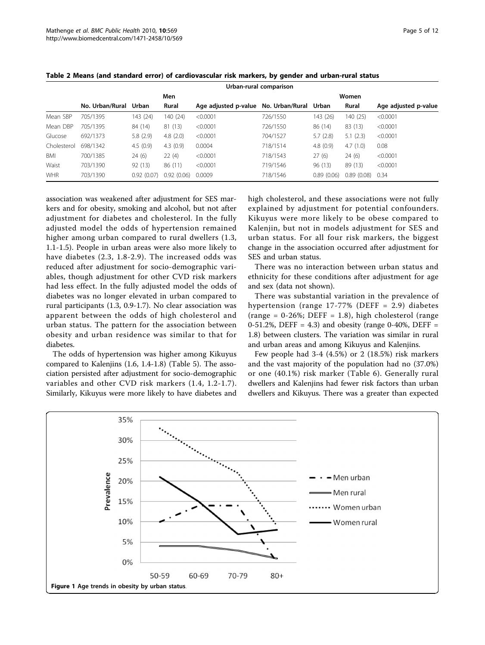|             | Urban-rural comparison |            |            |                      |                 |            |            |                      |  |  |
|-------------|------------------------|------------|------------|----------------------|-----------------|------------|------------|----------------------|--|--|
|             |                        |            | Men        |                      | Women           |            |            |                      |  |  |
|             | No. Urban/Rural        | Urban      | Rural      | Age adjusted p-value | No. Urban/Rural | Urban      | Rural      | Age adjusted p-value |  |  |
| Mean SBP    | 705/1395               | 143 (24)   | 140 (24)   | < 0.0001             | 726/1550        | 143 (26)   | 140(25)    | < 0.0001             |  |  |
| Mean DBP    | 705/1395               | 84 (14)    | 81 (13)    | < 0.0001             | 726/1550        | 86 (14)    | 83 (13)    | < 0.0001             |  |  |
| Glucose     | 692/1373               | 5.8(2.9)   | 4.8(2.0)   | < 0.0001             | 704/1527        | 5.7(2.8)   | 5.1(2.3)   | < 0.0001             |  |  |
| Cholesterol | 698/1342               | 4.5(0.9)   | 4.3(0.9)   | 0.0004               | 718/1514        | 4.8(0.9)   | 4.7(1.0)   | 0.08                 |  |  |
| BMI         | 700/1385               | 24(6)      | 22(4)      | < 0.0001             | 718/1543        | 27(6)      | 24(6)      | < 0.0001             |  |  |
| Waist       | 703/1390               | 92(13)     | 86 (11)    | < 0.0001             | 719/1546        | 96(13)     | 89 (13)    | < 0.0001             |  |  |
| <b>WHR</b>  | 703/1390               | 0.92(0.07) | 0.92(0.06) | 0.0009               | 718/1546        | 0.89(0.06) | 0.89(0.08) | 0.34                 |  |  |

<span id="page-4-0"></span>

| Table 2 Means (and standard error) of cardiovascular risk markers, by gender and urban-rural status |  |  |  |  |  |
|-----------------------------------------------------------------------------------------------------|--|--|--|--|--|
|-----------------------------------------------------------------------------------------------------|--|--|--|--|--|

association was weakened after adjustment for SES markers and for obesity, smoking and alcohol, but not after adjustment for diabetes and cholesterol. In the fully adjusted model the odds of hypertension remained higher among urban compared to rural dwellers (1.3, 1.1-1.5). People in urban areas were also more likely to have diabetes (2.3, 1.8-2.9). The increased odds was reduced after adjustment for socio-demographic variables, though adjustment for other CVD risk markers had less effect. In the fully adjusted model the odds of diabetes was no longer elevated in urban compared to rural participants (1.3, 0.9-1.7). No clear association was apparent between the odds of high cholesterol and urban status. The pattern for the association between obesity and urban residence was similar to that for diabetes.

The odds of hypertension was higher among Kikuyus compared to Kalenjins (1.6, 1.4-1.8) (Table [5\)](#page-8-0). The association persisted after adjustment for socio-demographic variables and other CVD risk markers (1.4, 1.2-1.7). Similarly, Kikuyus were more likely to have diabetes and high cholesterol, and these associations were not fully explained by adjustment for potential confounders. Kikuyus were more likely to be obese compared to Kalenjin, but not in models adjustment for SES and urban status. For all four risk markers, the biggest change in the association occurred after adjustment for SES and urban status.

There was no interaction between urban status and ethnicity for these conditions after adjustment for age and sex (data not shown).

There was substantial variation in the prevalence of hypertension (range 17-77% (DEFF = 2.9) diabetes  $(range = 0-26%; DEF = 1.8)$ , high cholesterol (range 0-51.2%, DEFF = 4.3) and obesity (range 0-40%, DEFF = 1.8) between clusters. The variation was similar in rural and urban areas and among Kikuyus and Kalenjins.

Few people had 3-4 (4.5%) or 2 (18.5%) risk markers and the vast majority of the population had no (37.0%) or one (40.1%) risk marker (Table [6](#page-9-0)). Generally rural dwellers and Kalenjins had fewer risk factors than urban dwellers and Kikuyus. There was a greater than expected

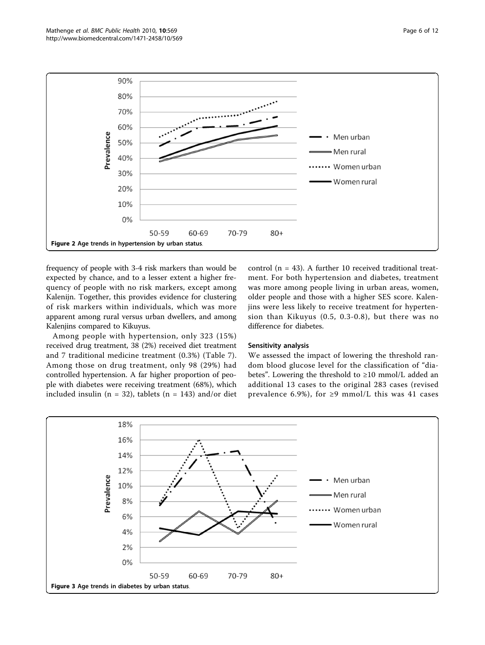<span id="page-5-0"></span>

frequency of people with 3-4 risk markers than would be expected by chance, and to a lesser extent a higher frequency of people with no risk markers, except among Kalenijn. Together, this provides evidence for clustering of risk markers within individuals, which was more apparent among rural versus urban dwellers, and among Kalenjins compared to Kikuyus.

Among people with hypertension, only 323 (15%) received drug treatment, 38 (2%) received diet treatment and 7 traditional medicine treatment (0.3%) (Table [7](#page-9-0)). Among those on drug treatment, only 98 (29%) had controlled hypertension. A far higher proportion of people with diabetes were receiving treatment (68%), which included insulin ( $n = 32$ ), tablets ( $n = 143$ ) and/or diet control ( $n = 43$ ). A further 10 received traditional treatment. For both hypertension and diabetes, treatment was more among people living in urban areas, women, older people and those with a higher SES score. Kalenjins were less likely to receive treatment for hypertension than Kikuyus (0.5, 0.3-0.8), but there was no difference for diabetes.

#### Sensitivity analysis

We assessed the impact of lowering the threshold random blood glucose level for the classification of "diabetes". Lowering the threshold to ≥10 mmol/L added an additional 13 cases to the original 283 cases (revised prevalence 6.9%), for  $\geq$ 9 mmol/L this was 41 cases

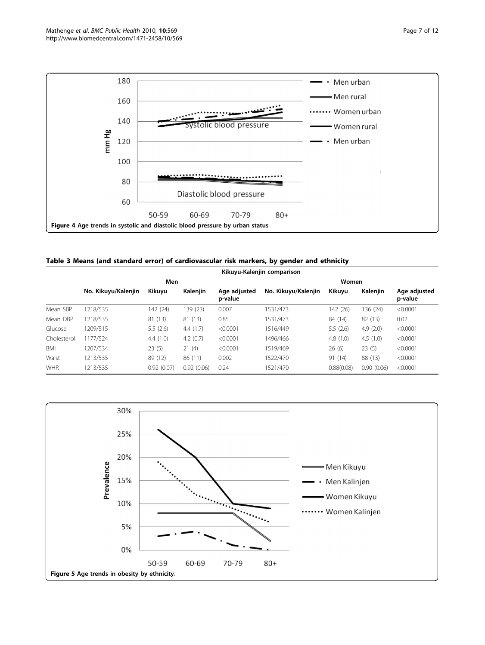<span id="page-6-0"></span>

|  | Table 3 Means (and standard error) of cardiovascular risk markers, by gender and ethnicity |  |  |  |  |  |  |
|--|--------------------------------------------------------------------------------------------|--|--|--|--|--|--|
|--|--------------------------------------------------------------------------------------------|--|--|--|--|--|--|

|             |                     | Kikuyu-Kalenjin comparison |            |                         |                     |            |             |                         |  |  |  |  |
|-------------|---------------------|----------------------------|------------|-------------------------|---------------------|------------|-------------|-------------------------|--|--|--|--|
|             |                     | Men                        |            |                         |                     | Women      |             |                         |  |  |  |  |
|             | No. Kikuyu/Kalenjin | Kikuyu                     | Kalenjin   | Age adjusted<br>p-value | No. Kikuyu/Kalenjin | Kikuyu     | Kalenjin    | Age adjusted<br>p-value |  |  |  |  |
| Mean SBP    | 1218/535            | 142 (24)                   | 139 (23)   | 0.007                   | 1531/473            | 142 (26)   | 136 (24)    | < 0.0001                |  |  |  |  |
| Mean DBP    | 1218/535            | 81 (13)                    | 81 (13)    | 0.85                    | 1531/473            | 84 (14)    | 82 (13)     | 0.02                    |  |  |  |  |
| Glucose     | 1209/515            | 5.5(2.6)                   | 4.4(1.7)   | < 0.0001                | 1516/449            | 5.5(2.6)   | 4.9 $(2.0)$ | < 0.0001                |  |  |  |  |
| Cholesterol | 177/524             | 4.4(1.0)                   | 4.2(0.7)   | < 0.0001                | 1496/466            | 4.8(1.0)   | 4.5(1.0)    | < 0.0001                |  |  |  |  |
| BMI         | 1207/534            | 23(5)                      | 21(4)      | < 0.0001                | 1519/469            | 26(6)      | 23(5)       | < 0.0001                |  |  |  |  |
| Waist       | 1213/535            | 89 (12)                    | 86 (11)    | 0.002                   | 1522/470            | 91 (14)    | 88 (13)     | < 0.0001                |  |  |  |  |
| <b>WHR</b>  | 1213/535            | 0.92(0.07)                 | 0.92(0.06) | 0.24                    | 1521/470            | 0.88(0.08) | 0.90(0.06)  | < 0.0001                |  |  |  |  |

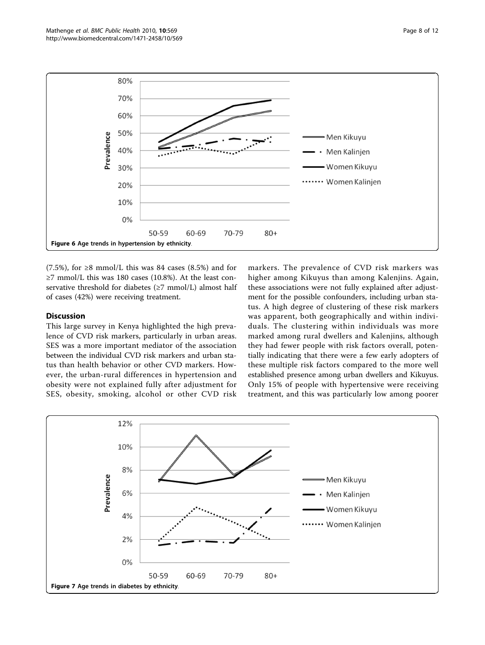<span id="page-7-0"></span>

(7.5%), for  $\geq$ 8 mmol/L this was 84 cases (8.5%) and for ≥7 mmol/L this was 180 cases (10.8%). At the least conservative threshold for diabetes  $(\geq 7 \text{ mmol/L})$  almost half of cases (42%) were receiving treatment.

## Discussion

This large survey in Kenya highlighted the high prevalence of CVD risk markers, particularly in urban areas. SES was a more important mediator of the association between the individual CVD risk markers and urban status than health behavior or other CVD markers. However, the urban-rural differences in hypertension and obesity were not explained fully after adjustment for SES, obesity, smoking, alcohol or other CVD risk markers. The prevalence of CVD risk markers was higher among Kikuyus than among Kalenjins. Again, these associations were not fully explained after adjustment for the possible confounders, including urban status. A high degree of clustering of these risk markers was apparent, both geographically and within individuals. The clustering within individuals was more marked among rural dwellers and Kalenjins, although they had fewer people with risk factors overall, potentially indicating that there were a few early adopters of these multiple risk factors compared to the more well established presence among urban dwellers and Kikuyus. Only 15% of people with hypertensive were receiving treatment, and this was particularly low among poorer

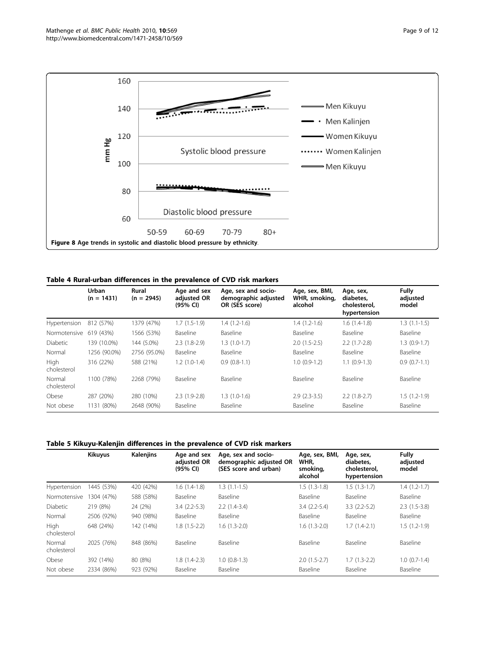<span id="page-8-0"></span>

#### Table 4 Rural-urban differences in the prevalence of CVD risk markers

|                       | Urban<br>$(n = 1431)$ | Rural<br>$(n = 2945)$ | Age and sex<br>adjusted OR<br>(95% CI) | Age, sex and socio-<br>demographic adjusted<br>OR (SES score) | Age, sex, BMI,<br>WHR, smoking,<br>alcohol | Age, sex,<br>diabetes.<br>cholesterol.<br>hypertension | <b>Fully</b><br>adjusted<br>model |
|-----------------------|-----------------------|-----------------------|----------------------------------------|---------------------------------------------------------------|--------------------------------------------|--------------------------------------------------------|-----------------------------------|
| Hypertension          | 812 (57%)             | 1379 (47%)            | $1.7(1.5-1.9)$                         | $1.4(1.2-1.6)$                                                | $1.4(1.2-1.6)$                             | $1.6(1.4-1.8)$                                         | $1.3(1.1-1.5)$                    |
| Normotensive          | 619 (43%)             | 1566 (53%)            | Baseline                               | <b>Baseline</b>                                               | Baseline                                   | Baseline                                               | Baseline                          |
| <b>Diabetic</b>       | 139 (10.0%)           | 144 (5.0%)            | $2.3(1.8-2.9)$                         | $1.3(1.0-1.7)$                                                | $2.0(1.5-2.5)$                             | $2.2(1.7-2.8)$                                         | $1.3(0.9-1.7)$                    |
| Normal                | 1256 (90.0%)          | 2756 (95.0%)          | Baseline                               | <b>Baseline</b>                                               | Baseline                                   | Baseline                                               | Baseline                          |
| High<br>cholesterol   | 316 (22%)             | 588 (21%)             | $1.2(1.0-1.4)$                         | $0.9(0.8-1.1)$                                                | $1.0(0.9-1.2)$                             | $1.1(0.9-1.3)$                                         | $0.9(0.7-1.1)$                    |
| Normal<br>cholesterol | 1100 (78%)            | 2268 (79%)            | Baseline                               | Baseline                                                      | Baseline                                   | Baseline                                               | Baseline                          |
| Obese                 | 287 (20%)             | 280 (10%)             | $2.3(1.9-2.8)$                         | $1.3(1.0-1.6)$                                                | $2.9(2.3-3.5)$                             | $2.2(1.8-2.7)$                                         | $1.5(1.2-1.9)$                    |
| Not obese             | 1131 (80%)            | 2648 (90%)            | Baseline                               | Baseline                                                      | Baseline                                   | Baseline                                               | Baseline                          |

## Table 5 Kikuyu-Kalenjin differences in the prevalence of CVD risk markers

|                       | <b>Kikuyus</b> | Kalenjins | Age and sex<br>adjusted OR<br>(95% CI) | Age, sex and socio-<br>demographic adjusted OR<br>(SES score and urban) | Age, sex, BMI,<br>WHR.<br>smoking,<br>alcohol | Age, sex,<br>diabetes.<br>cholesterol.<br>hypertension | <b>Fully</b><br>adjusted<br>model |
|-----------------------|----------------|-----------|----------------------------------------|-------------------------------------------------------------------------|-----------------------------------------------|--------------------------------------------------------|-----------------------------------|
| Hypertension          | 1445 (53%)     | 420 (42%) | $1.6(1.4-1.8)$                         | $1.3(1.1-1.5)$                                                          | $1.5(1.3-1.8)$                                | $1.5(1.3-1.7)$                                         | $1.4(1.2-1.7)$                    |
| Normotensive          | 1304 (47%)     | 588 (58%) | Baseline                               | Baseline                                                                | Baseline                                      | Baseline                                               | Baseline                          |
| Diabetic              | 219 (8%)       | 24 (2%)   | $3.4(2.2-5.3)$                         | $2.2(1.4-3.4)$                                                          | $3.4(2.2-5.4)$                                | $3.3(2.2-5.2)$                                         | $2.3(1.5-3.8)$                    |
| Normal                | 2506 (92%)     | 940 (98%) | Baseline                               | Baseline                                                                | Baseline                                      | Baseline                                               | Baseline                          |
| High<br>cholesterol   | 648 (24%)      | 142 (14%) | $1.8(1.5-2.2)$                         | $1.6(1.3-2.0)$                                                          | $1.6(1.3-2.0)$                                | $1.7(1.4-2.1)$                                         | $1.5(1.2-1.9)$                    |
| Normal<br>cholesterol | 2025 (76%)     | 848 (86%) | Baseline                               | Baseline                                                                | Baseline                                      | <b>Baseline</b>                                        | Baseline                          |
| Obese                 | 392 (14%)      | 80 (8%)   | $1.8(1.4-2.3)$                         | $1.0(0.8-1.3)$                                                          | $2.0(1.5-2.7)$                                | $1.7(1.3-2.2)$                                         | $1.0(0.7-1.4)$                    |
| Not obese             | 2334 (86%)     | 923 (92%) | Baseline                               | Baseline                                                                | Baseline                                      | <b>Baseline</b>                                        | Baseline                          |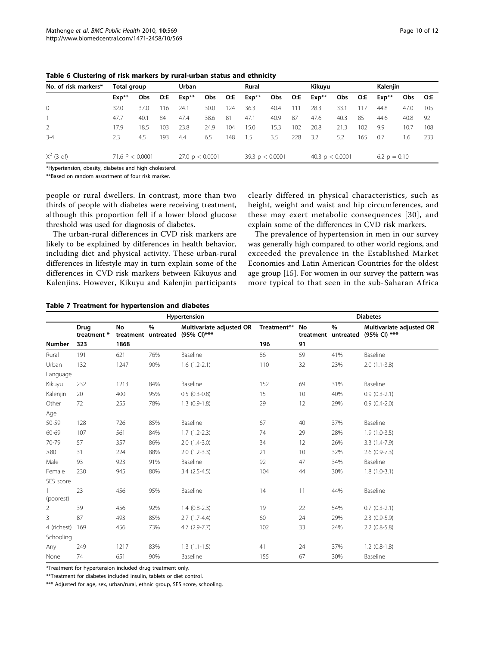| No. of risk markers*                                                              | Total group |                   | <b>Urban</b> |         |                           | Rural |       |                   | Kikuyu<br>Kalenjin |         |                   |     |                |      |     |
|-----------------------------------------------------------------------------------|-------------|-------------------|--------------|---------|---------------------------|-------|-------|-------------------|--------------------|---------|-------------------|-----|----------------|------|-----|
|                                                                                   | $Exp**$     | <b>Obs</b>        | O:E          | $Exp**$ | Obs                       | O:E   | Exp** | Obs               | O:E                | $Exp**$ | Obs               | O:E | $Exp**$        | Obs. | O:E |
| $\circ$                                                                           | 32.0        | 37.0              | 116          | 24.1    | 30.0                      | 124   | 36.3  | 40.4              | 111                | 28.3    | 33.1              | 117 | 44.8           | 47.0 | 105 |
|                                                                                   | 47.7        | 40.1              | 84           | 47.4    | 38.6                      | 81    | 47.1  | 40.9              | 87                 | 47.6    | 40.3              | 85  | 44.6           | 40.8 | -92 |
| 2                                                                                 | 17.9        | 18.5              | 103          | 23.8    | 24.9                      | 104   | 15.0  | 15.3              | 102                | 20.8    | 21.3              | 102 | 9.9            | 10.7 | 108 |
| $3 - 4$                                                                           | 2.3         | 4.5               | 193          | 4.4     | 6.5                       | 148   | 1.5   | 3.5               | 228                | 3.2     | 5.2               | 165 | 0.7            | 1.6  | 233 |
| $X^2$ (3 df)                                                                      |             | 71.6 P $< 0.0001$ |              |         | $27.0 \text{ p} < 0.0001$ |       |       | 39.3 $p < 0.0001$ |                    |         | 40.3 $p < 0.0001$ |     | 6.2 $p = 0.10$ |      |     |
| $\mathbf{r}$ , and $\mathbf{r}$ , and $\mathbf{r}$ , and $\mathbf{r}$<br>$\cdots$ |             |                   |              |         |                           |       |       |                   |                    |         |                   |     |                |      |     |

<span id="page-9-0"></span>Table 6 Clustering of risk markers by rural-urban status and ethnicity

\*Hypertension, obesity, diabetes and high cholesterol.

\*\*Based on random assortment of four risk marker.

people or rural dwellers. In contrast, more than two thirds of people with diabetes were receiving treatment, although this proportion fell if a lower blood glucose threshold was used for diagnosis of diabetes.

The urban-rural differences in CVD risk markers are likely to be explained by differences in health behavior, including diet and physical activity. These urban-rural differences in lifestyle may in turn explain some of the differences in CVD risk markers between Kikuyus and Kalenjins. However, Kikuyu and Kalenjin participants clearly differed in physical characteristics, such as height, weight and waist and hip circumferences, and these may exert metabolic consequences [[30\]](#page-11-0), and explain some of the differences in CVD risk markers.

The prevalence of hypertension in men in our survey was generally high compared to other world regions, and exceeded the prevalence in the Established Market Economies and Latin American Countries for the oldest age group [\[15](#page-11-0)]. For women in our survey the pattern was more typical to that seen in the sub-Saharan Africa

#### Table 7 Treatment for hypertension and diabetes

|                |                            |      | <b>Diabetes</b>             |                                         |             |    |                             |                                          |
|----------------|----------------------------|------|-----------------------------|-----------------------------------------|-------------|----|-----------------------------|------------------------------------------|
|                | <b>Drug</b><br>treatment * | No   | $\%$<br>treatment untreated | Multivariate adjusted OR<br>(95% CI)*** | Treatment** | No | $\%$<br>treatment untreated | Multivariate adjusted OR<br>(95% CI) *** |
| Number         | 323                        | 1868 |                             |                                         | 196         | 91 |                             |                                          |
| Rural          | 191                        | 621  | 76%                         | Baseline                                | 86          | 59 | 41%                         | Baseline                                 |
| Urban          | 132                        | 1247 | 90%                         | $1.6(1.2-2.1)$                          | 110         | 32 | 23%                         | $2.0(1.1-3.8)$                           |
| Language       |                            |      |                             |                                         |             |    |                             |                                          |
| Kikuyu         | 232                        | 1213 | 84%                         | Baseline                                | 152         | 69 | 31%                         | Baseline                                 |
| Kalenjin       | 20                         | 400  | 95%                         | $0.5(0.3-0.8)$                          | 15          | 10 | 40%                         | $0.9(0.3-2.1)$                           |
| Other          | 72                         | 255  | 78%                         | $1.3(0.9-1.8)$                          | 29          | 12 | 29%                         | $0.9(0.4-2.0)$                           |
| Age            |                            |      |                             |                                         |             |    |                             |                                          |
| 50-59          | 128                        | 726  | 85%                         | Baseline                                | 67          | 40 | 37%                         | Baseline                                 |
| 60-69          | 107                        | 561  | 84%                         | $1.7(1.2-2.3)$                          | 74          | 29 | 28%                         | $1.9(1.0-3.5)$                           |
| 70-79          | 57                         | 357  | 86%                         | $2.0(1.4-3.0)$                          | 34          | 12 | 26%                         | $3.3(1.4-7.9)$                           |
| $\geq 80$      | 31                         | 224  | 88%                         | $2.0(1.2-3.3)$                          | 21          | 10 | 32%                         | $2.6(0.9-7.3)$                           |
| Male           | 93                         | 923  | 91%                         | Baseline                                | 92          | 47 | 34%                         | Baseline                                 |
| Female         | 230                        | 945  | 80%                         | $3.4(2.5-4.5)$                          | 104         | 44 | 30%                         | $1.8(1.0-3.1)$                           |
| SES score      |                            |      |                             |                                         |             |    |                             |                                          |
| (poorest)      | 23                         | 456  | 95%                         | Baseline                                | 14          | 11 | 44%                         | Baseline                                 |
| $\overline{2}$ | 39                         | 456  | 92%                         | $1.4(0.8-2.3)$                          | 19          | 22 | 54%                         | $0.7(0.3-2.1)$                           |
| 3              | 87                         | 493  | 85%                         | $2.7(1.7-4.4)$                          | 60          | 24 | 29%                         | $2.3(0.9-5.9)$                           |
| 4 (richest)    | 169                        | 456  | 73%                         | $4.7(2.9-7.7)$                          | 102         | 33 | 24%                         | $2.2$ (0.8-5.8)                          |
| Schooling      |                            |      |                             |                                         |             |    |                             |                                          |
| Any            | 249                        | 1217 | 83%                         | $1.3(1.1-1.5)$                          | 41          | 24 | 37%                         | $1.2$ (0.8-1.8)                          |
| None           | 74                         | 651  | 90%                         | Baseline                                | 155         | 67 | 30%                         | Baseline                                 |

\*Treatment for hypertension included drug treatment only.

\*\*Treatment for diabetes included insulin, tablets or diet control.

\*\*\* Adjusted for age, sex, urban/rural, ethnic group, SES score, schooling.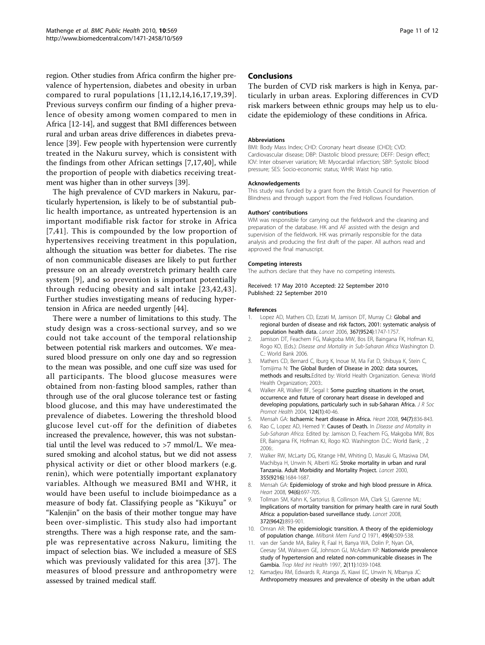<span id="page-10-0"></span>region. Other studies from Africa confirm the higher prevalence of hypertension, diabetes and obesity in urban compared to rural populations [11,12,[14](#page-11-0),[16](#page-11-0),[17](#page-11-0),[19](#page-11-0),[39\]](#page-11-0). Previous surveys confirm our finding of a higher prevalence of obesity among women compared to men in Africa [12[-14\]](#page-11-0), and suggest that BMI differences between rural and urban areas drive differences in diabetes prevalence [\[39](#page-11-0)]. Few people with hypertension were currently treated in the Nakuru survey, which is consistent with the findings from other African settings [7[,17,40\]](#page-11-0), while the proportion of people with diabetics receiving treatment was higher than in other surveys [\[39\]](#page-11-0).

The high prevalence of CVD markers in Nakuru, particularly hypertension, is likely to be of substantial public health importance, as untreated hypertension is an important modifiable risk factor for stroke in Africa [7,[41](#page-11-0)]. This is compounded by the low proportion of hypertensives receiving treatment in this population, although the situation was better for diabetes. The rise of non communicable diseases are likely to put further pressure on an already overstretch primary health care system [9], and so prevention is important potentially through reducing obesity and salt intake [[23](#page-11-0),[42,43\]](#page-11-0). Further studies investigating means of reducing hypertension in Africa are needed urgently [\[44](#page-11-0)].

There were a number of limitations to this study. The study design was a cross-sectional survey, and so we could not take account of the temporal relationship between potential risk markers and outcomes. We measured blood pressure on only one day and so regression to the mean was possible, and one cuff size was used for all participants. The blood glucose measures were obtained from non-fasting blood samples, rather than through use of the oral glucose tolerance test or fasting blood glucose, and this may have underestimated the prevalence of diabetes. Lowering the threshold blood glucose level cut-off for the definition of diabetes increased the prevalence, however, this was not substantial until the level was reduced to >7 mmol/L. We measured smoking and alcohol status, but we did not assess physical activity or diet or other blood markers (e.g. renin), which were potentially important explanatory variables. Although we measured BMI and WHR, it would have been useful to include bioimpedance as a measure of body fat. Classifying people as "Kikuyu" or "Kalenjin" on the basis of their mother tongue may have been over-simplistic. This study also had important strengths. There was a high response rate, and the sample was representative across Nakuru, limiting the impact of selection bias. We included a measure of SES which was previously validated for this area [[37\]](#page-11-0). The measures of blood pressure and anthropometry were assessed by trained medical staff.

#### Conclusions

The burden of CVD risk markers is high in Kenya, particularly in urban areas. Exploring differences in CVD risk markers between ethnic groups may help us to elucidate the epidemiology of these conditions in Africa.

#### Abbreviations

BMI: Body Mass Index; CHD: Coronary heart disease (CHD); CVD: Cardiovascular disease; DBP: Diastolic blood pressure; DEFF: Design effect; IOV: Inter observer variation; MI: Myocardial infarction; SBP: Systolic blood pressure; SES: Socio-economic status; WHR: Waist hip ratio.

#### Acknowledgements

This study was funded by a grant from the British Council for Prevention of Blindness and through support from the Fred Hollows Foundation.

#### Authors' contributions

WM was responsible for carrying out the fieldwork and the cleaning and preparation of the database. HK and AF assisted with the design and supervision of the fieldwork. HK was primarily responsible for the data analysis and producing the first draft of the paper. All authors read and approved the final manuscript.

#### Competing interests

The authors declare that they have no competing interests.

Received: 17 May 2010 Accepted: 22 September 2010 Published: 22 September 2010

#### References

- Lopez AD, Mathers CD, Ezzati M, Jamison DT, Murray CJ: [Global and](http://www.ncbi.nlm.nih.gov/pubmed/16731270?dopt=Abstract) [regional burden of disease and risk factors, 2001: systematic analysis of](http://www.ncbi.nlm.nih.gov/pubmed/16731270?dopt=Abstract) [population health data.](http://www.ncbi.nlm.nih.gov/pubmed/16731270?dopt=Abstract) Lancet 2006, 367(9524):1747-1757.
- 2. Jamison DT, Feachem FG, Makgoba MW, Bos ER, Baingana FK, Hofman KJ, Rogo KO, (Eds.): Disease and Mortality in Sub-Saharan Africa Washington D. C.: World Bank 2006.
- 3. Mathers CD, Bernard C, Iburg K, Inoue M, Ma Fat D, Shibuya K, Stein C, Tomijima N: The Global Burden of Disease in 2002: data sources, methods and results.Edited by: World Health Organization. Geneva: World Health Organization; 2003:.
- 4. Walker AR, Walker BF, Segal I: [Some puzzling situations in the onset,](http://www.ncbi.nlm.nih.gov/pubmed/14971192?dopt=Abstract) [occurrence and future of coronary heart disease in developed and](http://www.ncbi.nlm.nih.gov/pubmed/14971192?dopt=Abstract) [developing populations, particularly such in sub-Saharan Africa.](http://www.ncbi.nlm.nih.gov/pubmed/14971192?dopt=Abstract) J R Soc Promot Health 2004, 124(1):40-46.
- 5. Mensah GA: [Ischaemic heart disease in Africa.](http://www.ncbi.nlm.nih.gov/pubmed/18552223?dopt=Abstract) Heart 2008, 94(7):836-843.
- 6. Rao C, Lopez AD, Hemed Y: Causes of Death. In Disease and Mortality in Sub-Saharan Africa. Edited by: Jamison D, Feachem FG, Makgoba MW, Bos ER, Baingana FK, Hofman KJ, Rogo KO. Washington D.C.: World Bank; , 2 2006:.
- 7. Walker RW, McLarty DG, Kitange HM, Whiting D, Masuki G, Mtasiwa DM, Machibya H, Unwin N, Alberti KG: [Stroke mortality in urban and rural](http://www.ncbi.nlm.nih.gov/pubmed/10905244?dopt=Abstract) [Tanzania. Adult Morbidity and Mortality Project.](http://www.ncbi.nlm.nih.gov/pubmed/10905244?dopt=Abstract) Lancet 2000, 355(9216):1684-1687.
- 8. Mensah GA: [Epidemiology of stroke and high blood pressure in Africa.](http://www.ncbi.nlm.nih.gov/pubmed/18308869?dopt=Abstract) Heart 2008, 94(6):697-705.
- 9. Tollman SM, Kahn K, Sartorius B, Collinson MA, Clark SJ, Garenne ML: [Implications of mortality transition for primary health care in rural South](http://www.ncbi.nlm.nih.gov/pubmed/18790312?dopt=Abstract) [Africa: a population-based surveillance study.](http://www.ncbi.nlm.nih.gov/pubmed/18790312?dopt=Abstract) Lancet 2008, 372(9642):893-901.
- 10. Omran AR: [The epidemiologic transition. A theory of the epidemiology](http://www.ncbi.nlm.nih.gov/pubmed/5155251?dopt=Abstract) [of population change.](http://www.ncbi.nlm.nih.gov/pubmed/5155251?dopt=Abstract) Milbank Mem Fund Q 1971, 49(4):509-538.
- 11. van der Sande MA, Bailey R, Faal H, Banya WA, Dolin P, Nyan OA, Ceesay SM, Walraven GE, Johnson GJ, McAdam KP: [Nationwide prevalence](http://www.ncbi.nlm.nih.gov/pubmed/9391506?dopt=Abstract) [study of hypertension and related non-communicable diseases in The](http://www.ncbi.nlm.nih.gov/pubmed/9391506?dopt=Abstract) [Gambia.](http://www.ncbi.nlm.nih.gov/pubmed/9391506?dopt=Abstract) Trop Med Int Health 1997, 2(11):1039-1048.
- 12. Kamadjeu RM, Edwards R, Atanga JS, Kiawi EC, Unwin N, Mbanya JC: [Anthropometry measures and prevalence of obesity in the urban adult](http://www.ncbi.nlm.nih.gov/pubmed/16970806?dopt=Abstract)